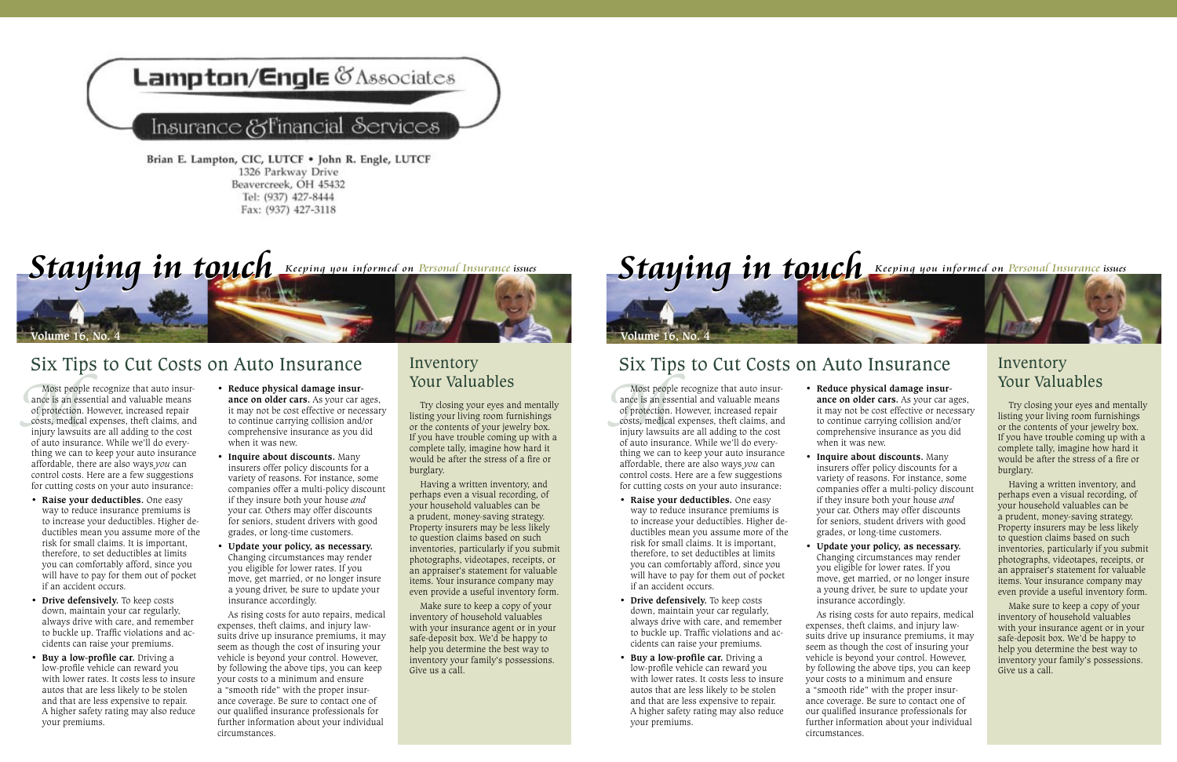

## Insurance & Financial Services

Brian E. Lampton, CIC, LUTCF . John R. Engle, LUTCF 1326 Parkway Drive Beavercreek, OH 45432 Tel: (937) 427-8444 Fax: (937) 427-3118

Staying in touch Keeping you informed on Personal Insurance issues

Six Tips to Cut Costs on Auto Insurance

Most peopl<br>ance is an ess<br>of protection.<br>costs, medical<br>injury lawsuit<br>of auto insura Most people recognize that auto insurance is an essential and valuable means of protection. However, increased repair costs, medical expenses, theft claims, and injury lawsuits are all adding to the cost of auto insurance. While we'll do everything we can to keep your auto insurance affordable, there are also ways *you* can control costs. Here are a few suggestions for cutting costs on your auto insurance:

*<u>Olume 16</u>* No.

- **• Raise your deductibles.** One easy way to reduce insurance premiums is to increase your deductibles. Higher deductibles mean you assume more of the risk for small claims. It is important, therefore, to set deductibles at limits you can comfortably afford, since you will have to pay for them out of pocket if an accident occurs.
- **• Drive defensively.** To keep costs down, maintain your car regularly, always drive with care, and remember to buckle up. Traffic violations and accidents can raise your premiums.
- **• Buy a low-profile car.** Driving a low-profile vehicle can reward you with lower rates. It costs less to insure autos that are less likely to be stolen and that are less expensive to repair. A higher safety rating may also reduce your premiums.
- **Reduce physical damage insurance on older cars.** As your car ages, it may not be cost effective or necessary to continue carrying collision and/or comprehensive insurance as you did when it was new.
- **• Inquire about discounts.** Many insurers offer policy discounts for a variety of reasons. For instance, some companies offer a multi-policy discount if they insure both your house *and* your car. Others may offer discounts for seniors, student drivers with good grades, or long-time customers.
- **• Update your policy, as necessary.**  Changing circumstances may render you eligible for lower rates. If you move, get married, or no longer insure a young driver, be sure to update your insurance accordingly.

As rising costs for auto repairs, medical expenses, theft claims, and injury lawsuits drive up insurance premiums, it may seem as though the cost of insuring your vehicle is beyond your control. However, by following the above tips, you can keep your costs to a minimum and ensure a "smooth ride" with the proper insurance coverage. Be sure to contact one of our qualified insurance professionals for further information about your individual circumstances.

## Inventory Your Valuables

Try closing your eyes and mentally listing your living room furnishings or the contents of your jewelry box. If you have trouble coming up with a complete tally, imagine how hard it would be after the stress of a fire or burglary.

Having a written inventory, and perhaps even a visual recording, of your household valuables can be a prudent, money-saving strategy. Property insurers may be less likely to question claims based on such inventories, particularly if you submit photographs, videotapes, receipts, or an appraiser's statement for valuable items. Your insurance company may even provide a useful inventory form.

Make sure to keep a copy of your inventory of household valuables with your insurance agent or in your safe-deposit box. We'd be happy to help you determine the best way to inventory your family's possessions. Give us a call.